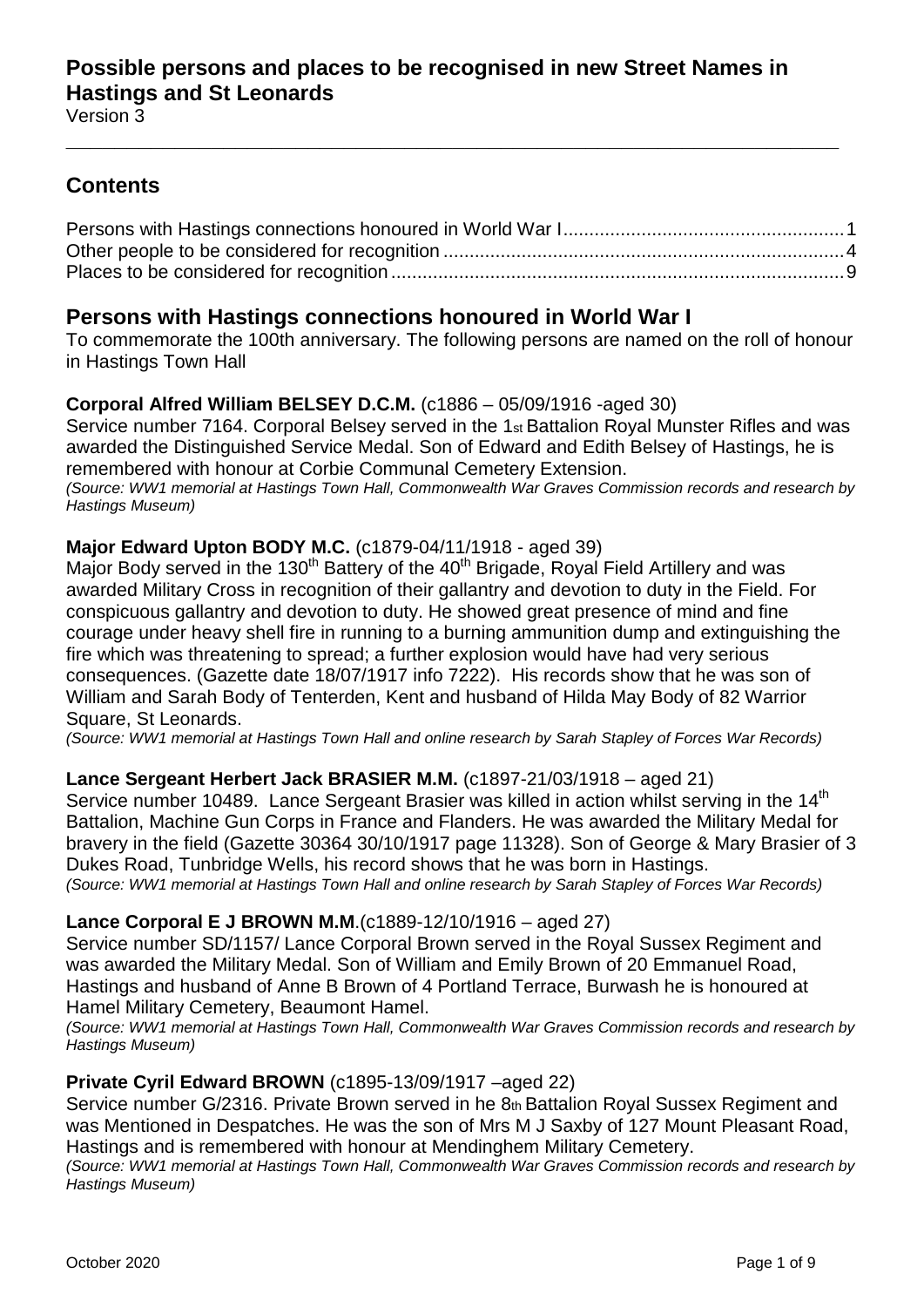## **Contents**

**\_\_\_\_\_\_\_\_\_\_\_\_\_\_\_\_\_\_\_\_\_\_\_\_\_\_\_\_\_\_\_\_\_\_\_\_\_\_\_\_\_\_\_\_\_\_\_\_\_\_\_\_\_\_\_\_\_\_\_\_\_\_\_\_**

## <span id="page-0-0"></span>**Persons with Hastings connections honoured in World War I**

To commemorate the 100th anniversary. The following persons are named on the roll of honour in Hastings Town Hall

## **Corporal Alfred William BELSEY D.C.M.** (c1886 – 05/09/1916 -aged 30)

Service number 7164. Corporal Belsey served in the 1st Battalion Royal Munster Rifles and was awarded the Distinguished Service Medal. Son of Edward and Edith Belsey of Hastings, he is remembered with honour at Corbie Communal Cemetery Extension. *(Source: WW1 memorial at Hastings Town Hall, Commonwealth War Graves Commission records and research by Hastings Museum)*

## **Major Edward Upton BODY M.C.** (c1879-04/11/1918 - aged 39)

Major Body served in the 130<sup>th</sup> Battery of the 40<sup>th</sup> Brigade, Royal Field Artillery and was awarded Military Cross in recognition of their gallantry and devotion to duty in the Field. For conspicuous gallantry and devotion to duty. He showed great presence of mind and fine courage under heavy shell fire in running to a burning ammunition dump and extinguishing the fire which was threatening to spread; a further explosion would have had very serious consequences. (Gazette date 18/07/1917 info 7222). His records show that he was son of William and Sarah Body of Tenterden, Kent and husband of Hilda May Body of 82 Warrior Square, St Leonards.

*(Source: WW1 memorial at Hastings Town Hall and online research by Sarah Stapley of Forces War Records)*

## **Lance Sergeant Herbert Jack BRASIER M.M.** (c1897-21/03/1918 – aged 21)

Service number 10489. Lance Sergeant Brasier was killed in action whilst serving in the 14<sup>th</sup> Battalion, Machine Gun Corps in France and Flanders. He was awarded the Military Medal for bravery in the field (Gazette 30364 30/10/1917 page 11328). Son of George & Mary Brasier of 3 Dukes Road, Tunbridge Wells, his record shows that he was born in Hastings. *(Source: WW1 memorial at Hastings Town Hall and online research by Sarah Stapley of Forces War Records)*

## **Lance Corporal E J BROWN M.M**.(c1889-12/10/1916 – aged 27)

Service number SD/1157/ Lance Corporal Brown served in the Royal Sussex Regiment and was awarded the Military Medal. Son of William and Emily Brown of 20 Emmanuel Road, Hastings and husband of Anne B Brown of 4 Portland Terrace, Burwash he is honoured at Hamel Military Cemetery, Beaumont Hamel.

*(Source: WW1 memorial at Hastings Town Hall, Commonwealth War Graves Commission records and research by Hastings Museum)*

## **Private Cyril Edward BROWN** (c1895-13/09/1917 –aged 22)

Service number G/2316. Private Brown served in he 8th Battalion Royal Sussex Regiment and was Mentioned in Despatches. He was the son of Mrs M J Saxby of 127 Mount Pleasant Road, Hastings and is remembered with honour at Mendinghem Military Cemetery.

*(Source: WW1 memorial at Hastings Town Hall, Commonwealth War Graves Commission records and research by Hastings Museum)*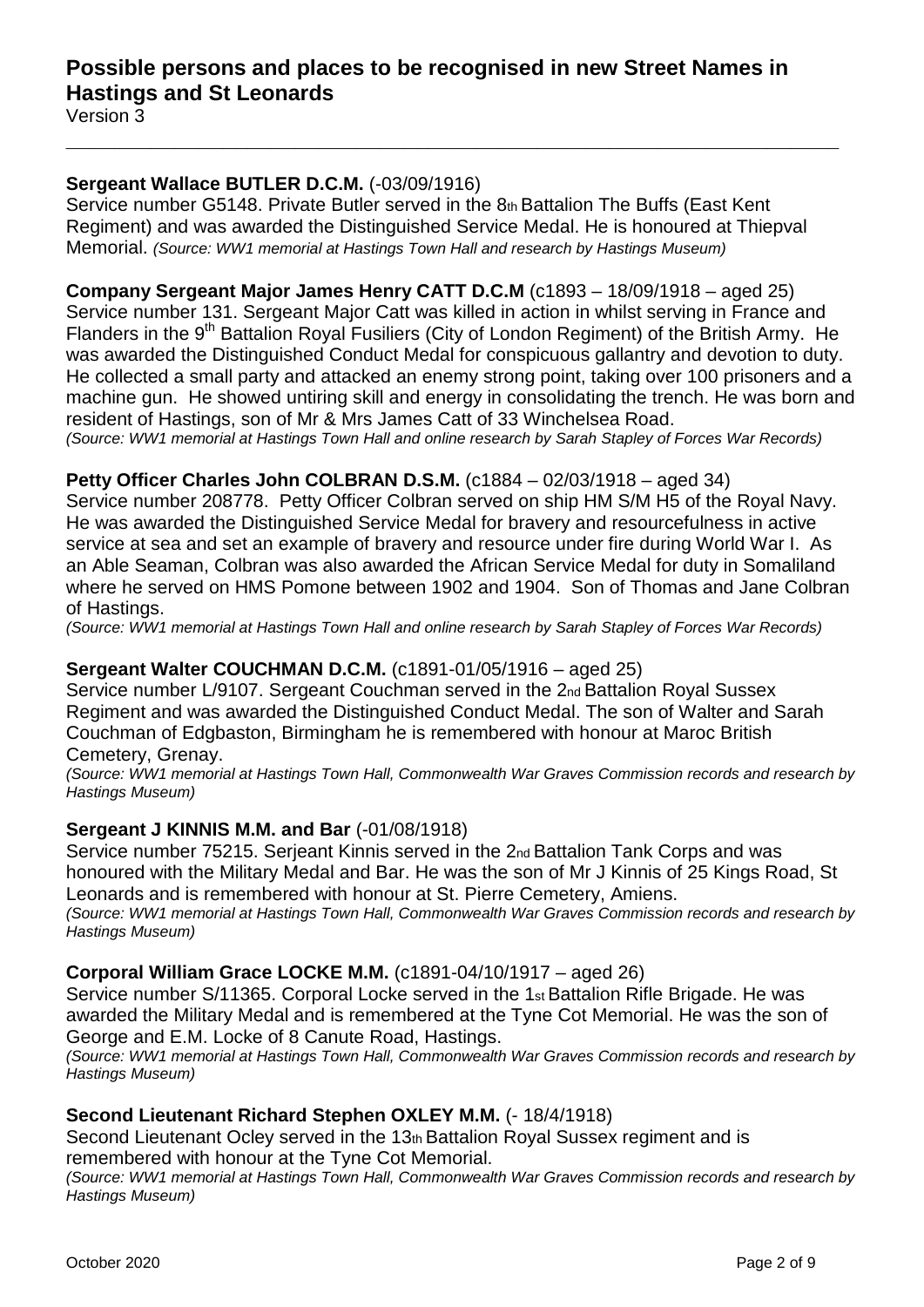## **Sergeant Wallace BUTLER D.C.M.** (-03/09/1916)

Service number G5148. Private Butler served in the 8th Battalion The Buffs (East Kent Regiment) and was awarded the Distinguished Service Medal. He is honoured at Thiepval Memorial. *(Source: WW1 memorial at Hastings Town Hall and research by Hastings Museum)*

**\_\_\_\_\_\_\_\_\_\_\_\_\_\_\_\_\_\_\_\_\_\_\_\_\_\_\_\_\_\_\_\_\_\_\_\_\_\_\_\_\_\_\_\_\_\_\_\_\_\_\_\_\_\_\_\_\_\_\_\_\_\_\_\_**

## **Company Sergeant Major James Henry CATT D.C.M** (c1893 – 18/09/1918 – aged 25)

Service number 131. Sergeant Major Catt was killed in action in whilst serving in France and Flanders in the 9<sup>th</sup> Battalion Royal Fusiliers (City of London Regiment) of the British Army. He was awarded the Distinguished Conduct Medal for conspicuous gallantry and devotion to duty. He collected a small party and attacked an enemy strong point, taking over 100 prisoners and a machine gun. He showed untiring skill and energy in consolidating the trench. He was born and resident of Hastings, son of Mr & Mrs James Catt of 33 Winchelsea Road. *(Source: WW1 memorial at Hastings Town Hall and online research by Sarah Stapley of Forces War Records)*

# **Petty Officer Charles John COLBRAN D.S.M.** (c1884 – 02/03/1918 – aged 34)

Service number 208778. Petty Officer Colbran served on ship HM S/M H5 of the Royal Navy. He was awarded the Distinguished Service Medal for bravery and resourcefulness in active service at sea and set an example of bravery and resource under fire during World War I. As an Able Seaman, Colbran was also awarded the African Service Medal for duty in Somaliland where he served on HMS Pomone between 1902 and 1904. Son of Thomas and Jane Colbran of Hastings.

*(Source: WW1 memorial at Hastings Town Hall and online research by Sarah Stapley of Forces War Records)*

## **Sergeant Walter COUCHMAN D.C.M.** (c1891-01/05/1916 – aged 25)

Service number L/9107. Sergeant Couchman served in the 2nd Battalion Royal Sussex Regiment and was awarded the Distinguished Conduct Medal. The son of Walter and Sarah Couchman of Edgbaston, Birmingham he is remembered with honour at Maroc British Cemetery, Grenay.

*(Source: WW1 memorial at Hastings Town Hall, Commonwealth War Graves Commission records and research by Hastings Museum)*

## **Sergeant J KINNIS M.M. and Bar** (-01/08/1918)

Service number 75215. Serjeant Kinnis served in the 2nd Battalion Tank Corps and was honoured with the Military Medal and Bar. He was the son of Mr J Kinnis of 25 Kings Road, St Leonards and is remembered with honour at St. Pierre Cemetery, Amiens.

*(Source: WW1 memorial at Hastings Town Hall, Commonwealth War Graves Commission records and research by Hastings Museum)*

## **Corporal William Grace LOCKE M.M.** (c1891-04/10/1917 – aged 26)

Service number S/11365. Corporal Locke served in the 1st Battalion Rifle Brigade. He was awarded the Military Medal and is remembered at the Tyne Cot Memorial. He was the son of George and E.M. Locke of 8 Canute Road, Hastings.

*(Source: WW1 memorial at Hastings Town Hall, Commonwealth War Graves Commission records and research by Hastings Museum)*

## **Second Lieutenant Richard Stephen OXLEY M.M.** (- 18/4/1918)

Second Lieutenant Ocley served in the 13th Battalion Royal Sussex regiment and is remembered with honour at the Tyne Cot Memorial.

*(Source: WW1 memorial at Hastings Town Hall, Commonwealth War Graves Commission records and research by Hastings Museum)*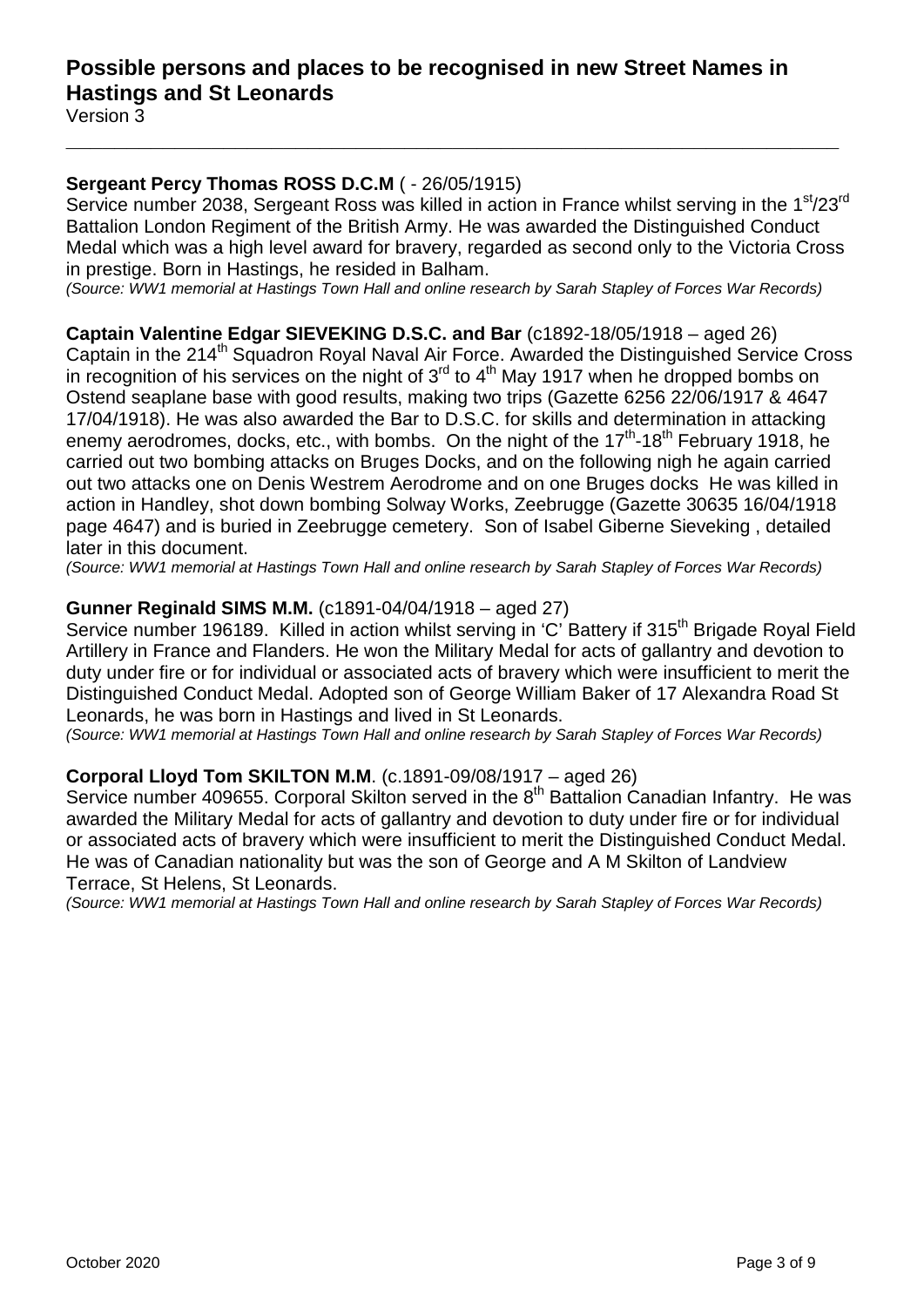## **Sergeant Percy Thomas ROSS D.C.M** ( - 26/05/1915)

Service number 2038, Sergeant Ross was killed in action in France whilst serving in the 1<sup>st</sup>/23<sup>rd</sup> Battalion London Regiment of the British Army. He was awarded the Distinguished Conduct Medal which was a high level award for bravery, regarded as second only to the Victoria Cross in prestige. Born in Hastings, he resided in Balham.

**\_\_\_\_\_\_\_\_\_\_\_\_\_\_\_\_\_\_\_\_\_\_\_\_\_\_\_\_\_\_\_\_\_\_\_\_\_\_\_\_\_\_\_\_\_\_\_\_\_\_\_\_\_\_\_\_\_\_\_\_\_\_\_\_**

*(Source: WW1 memorial at Hastings Town Hall and online research by Sarah Stapley of Forces War Records)*

## **Captain Valentine Edgar SIEVEKING D.S.C. and Bar** (c1892-18/05/1918 – aged 26)

Captain in the 214<sup>th</sup> Squadron Royal Naval Air Force. Awarded the Distinguished Service Cross in recognition of his services on the night of  $3<sup>rd</sup>$  to  $4<sup>th</sup>$  May 1917 when he dropped bombs on Ostend seaplane base with good results, making two trips (Gazette 6256 22/06/1917 & 4647 17/04/1918). He was also awarded the Bar to D.S.C. for skills and determination in attacking enemy aerodromes, docks, etc., with bombs. On the night of the 17<sup>th</sup>-18<sup>th</sup> February 1918, he carried out two bombing attacks on Bruges Docks, and on the following nigh he again carried out two attacks one on Denis Westrem Aerodrome and on one Bruges docks He was killed in action in Handley, shot down bombing Solway Works, Zeebrugge (Gazette 30635 16/04/1918 page 4647) and is buried in Zeebrugge cemetery. Son of Isabel Giberne Sieveking , detailed later in this document.

*(Source: WW1 memorial at Hastings Town Hall and online research by Sarah Stapley of Forces War Records)*

## **Gunner Reginald SIMS M.M.** (c1891-04/04/1918 – aged 27)

Service number 196189. Killed in action whilst serving in 'C' Battery if 315<sup>th</sup> Brigade Royal Field Artillery in France and Flanders. He won the Military Medal for acts of gallantry and devotion to duty under fire or for individual or associated acts of bravery which were insufficient to merit the Distinguished Conduct Medal. Adopted son of George William Baker of 17 Alexandra Road St Leonards, he was born in Hastings and lived in St Leonards.

*(Source: WW1 memorial at Hastings Town Hall and online research by Sarah Stapley of Forces War Records)*

## **Corporal Lloyd Tom SKILTON M.M**. (c.1891-09/08/1917 – aged 26)

Service number 409655. Corporal Skilton served in the 8<sup>th</sup> Battalion Canadian Infantry. He was awarded the Military Medal for acts of gallantry and devotion to duty under fire or for individual or associated acts of bravery which were insufficient to merit the Distinguished Conduct Medal. He was of Canadian nationality but was the son of George and A M Skilton of Landview Terrace, St Helens, St Leonards.

*(Source: WW1 memorial at Hastings Town Hall and online research by Sarah Stapley of Forces War Records)*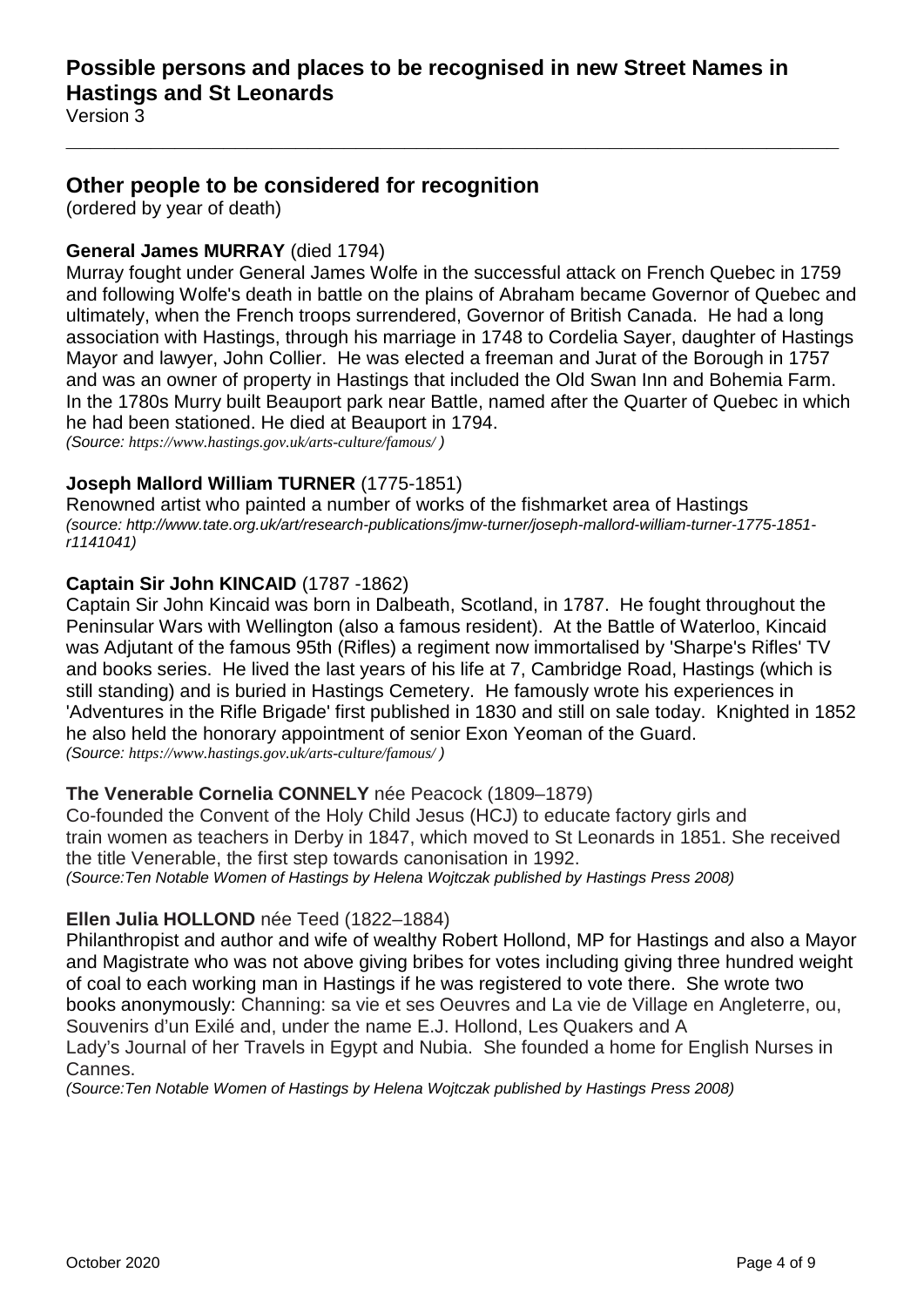**\_\_\_\_\_\_\_\_\_\_\_\_\_\_\_\_\_\_\_\_\_\_\_\_\_\_\_\_\_\_\_\_\_\_\_\_\_\_\_\_\_\_\_\_\_\_\_\_\_\_\_\_\_\_\_\_\_\_\_\_\_\_\_\_**

Version 3

## <span id="page-3-0"></span>**Other people to be considered for recognition**

(ordered by year of death)

## **General James MURRAY** (died 1794)

Murray fought under General James Wolfe in the successful attack on French Quebec in 1759 and following Wolfe's death in battle on the plains of Abraham became Governor of Quebec and ultimately, when the French troops surrendered, Governor of British Canada. He had a long association with Hastings, through his marriage in 1748 to Cordelia Sayer, daughter of Hastings Mayor and lawyer, John Collier. He was elected a freeman and Jurat of the Borough in 1757 and was an owner of property in Hastings that included the Old Swan Inn and Bohemia Farm. In the 1780s Murry built Beauport park near Battle, named after the Quarter of Quebec in which he had been stationed. He died at Beauport in 1794.

*(Source: <https://www.hastings.gov.uk/arts-culture/famous/> )*

## **Joseph Mallord William TURNER** (1775-1851)

Renowned artist who painted a number of works of the fishmarket area of Hastings *(source: http://www.tate.org.uk/art/research-publications/jmw-turner/joseph-mallord-william-turner-1775-1851 r1141041)*

## **Captain Sir John KINCAID** (1787 -1862)

Captain Sir John Kincaid was born in Dalbeath, Scotland, in 1787. He fought throughout the Peninsular Wars with Wellington (also a famous resident). At the Battle of Waterloo, Kincaid was Adjutant of the famous 95th (Rifles) a regiment now immortalised by 'Sharpe's Rifles' TV and books series. He lived the last years of his life at 7, Cambridge Road, Hastings (which is still standing) and is buried in Hastings Cemetery. He famously wrote his experiences in 'Adventures in the Rifle Brigade' first published in 1830 and still on sale today. Knighted in 1852 he also held the honorary appointment of senior Exon Yeoman of the Guard. *(Source: <https://www.hastings.gov.uk/arts-culture/famous/> )*

## **The Venerable Cornelia CONNELY** née Peacock (1809–1879)

Co-founded the Convent of the Holy Child Jesus (HCJ) to educate factory girls and train women as teachers in Derby in 1847, which moved to St Leonards in 1851. She received the title Venerable, the first step towards canonisation in 1992. *(Source:Ten Notable Women of Hastings by Helena Wojtczak published by Hastings Press 2008)*

## **Ellen Julia HOLLOND** née Teed (1822–1884)

Philanthropist and author and wife of wealthy Robert Hollond, MP for Hastings and also a Mayor and Magistrate who was not above giving bribes for votes including giving three hundred weight of coal to each working man in Hastings if he was registered to vote there. She wrote two books anonymously: Channing: sa vie et ses Oeuvres and La vie de Village en Angleterre, ou, Souvenirs d'un Exilé and, under the name E.J. Hollond, Les Quakers and A Lady's Journal of her Travels in Egypt and Nubia. She founded a home for English Nurses in Cannes.

*(Source:Ten Notable Women of Hastings by Helena Wojtczak published by Hastings Press 2008)*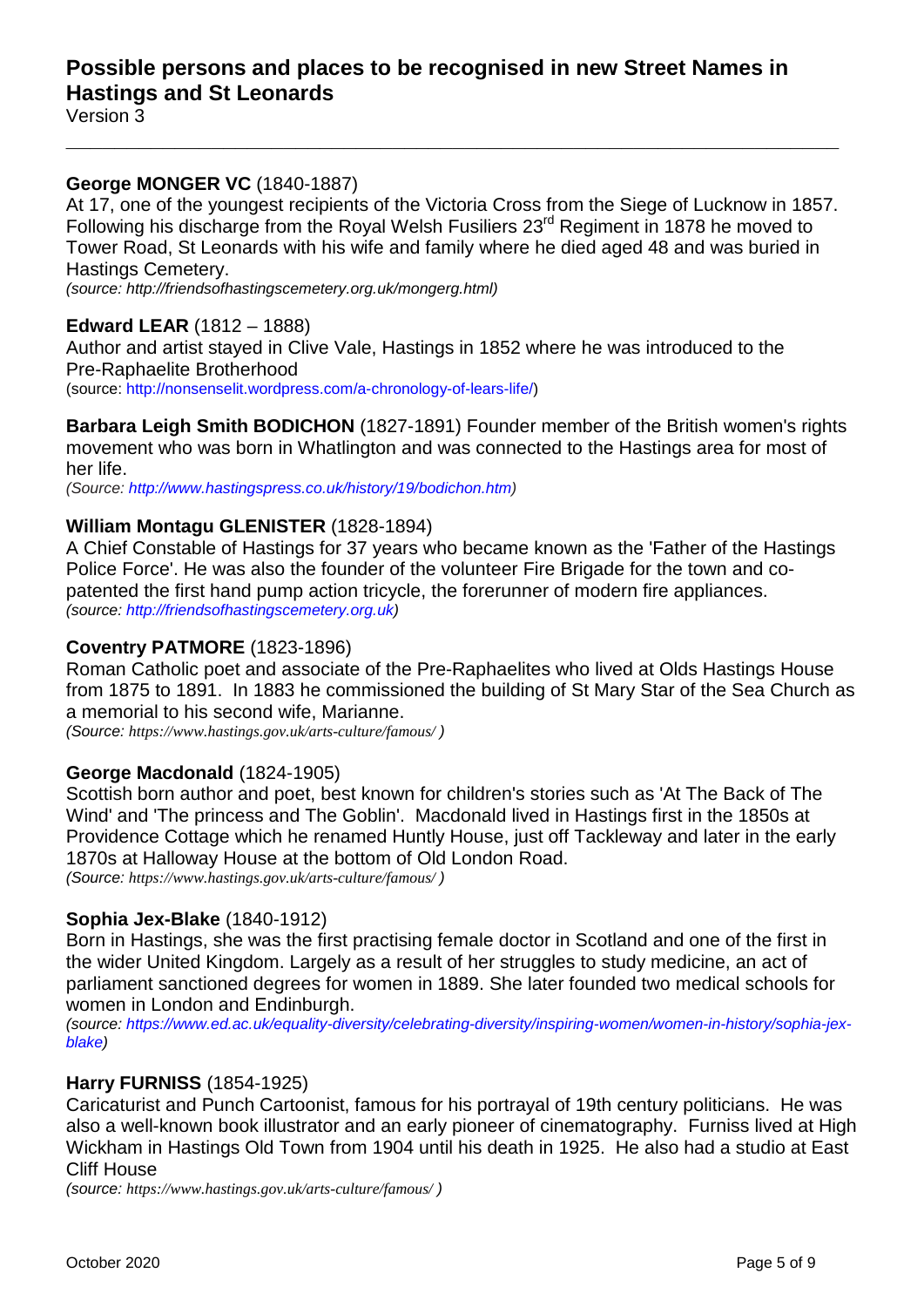## **Possible persons and places to be recognised in new Street Names in Hastings and St Leonards**

Version 3

## **George MONGER VC** (1840-1887)

At 17, one of the youngest recipients of the Victoria Cross from the Siege of Lucknow in 1857. Following his discharge from the Royal Welsh Fusiliers 23<sup>rd</sup> Regiment in 1878 he moved to Tower Road, St Leonards with his wife and family where he died aged 48 and was buried in Hastings Cemetery.

**\_\_\_\_\_\_\_\_\_\_\_\_\_\_\_\_\_\_\_\_\_\_\_\_\_\_\_\_\_\_\_\_\_\_\_\_\_\_\_\_\_\_\_\_\_\_\_\_\_\_\_\_\_\_\_\_\_\_\_\_\_\_\_\_**

*(source: [http://friendsofhastingscemetery.org.uk/mongerg.html\)](http://friendsofhastingscemetery.org.uk/mongerg.html)*

## **Edward LEAR** (1812 – 1888)

Author and artist stayed in Clive Vale, Hastings in 1852 where he was introduced to the Pre-Raphaelite Brotherhood (source: [http://nonsenselit.wordpress.com/a-chronology-of-lears-life/\)](http://nonsenselit.wordpress.com/a-chronology-of-lears-life/)

**Barbara Leigh Smith BODICHON** (1827-1891) Founder member of the British women's rights movement who was born in Whatlington and was connected to the Hastings area for most of

her life.

*(Source: [http://www.hastingspress.co.uk/history/19/bodichon.htm\)](http://www.hastingspress.co.uk/history/19/bodichon.htm)*

## **William Montagu GLENISTER** (1828-1894)

A Chief Constable of Hastings for 37 years who became known as the 'Father of the Hastings Police Force'. He was also the founder of the volunteer Fire Brigade for the town and copatented the first hand pump action tricycle, the forerunner of modern fire appliances. *(source: [http://friendsofhastingscemetery.org.uk\)](http://friendsofhastingscemetery.org.uk/)*

### **Coventry PATMORE** (1823-1896)

Roman Catholic poet and associate of the Pre-Raphaelites who lived at Olds Hastings House from 1875 to 1891. In 1883 he commissioned the building of St Mary Star of the Sea Church as a memorial to his second wife, Marianne.

*(Source: <https://www.hastings.gov.uk/arts-culture/famous/> )*

#### **George Macdonald** (1824-1905)

Scottish born author and poet, best known for children's stories such as 'At The Back of The Wind' and 'The princess and The Goblin'. Macdonald lived in Hastings first in the 1850s at Providence Cottage which he renamed Huntly House, just off Tackleway and later in the early 1870s at Halloway House at the bottom of Old London Road.

*(Source: <https://www.hastings.gov.uk/arts-culture/famous/> )*

## **Sophia Jex-Blake** (1840-1912)

Born in Hastings, she was the first practising female doctor in Scotland and one of the first in the wider United Kingdom. Largely as a result of her struggles to study medicine, an act of parliament sanctioned degrees for women in 1889. She later founded two medical schools for women in London and Endinburgh.

*(source: [https://www.ed.ac.uk/equality-diversity/celebrating-diversity/inspiring-women/women-in-history/sophia-jex](https://www.ed.ac.uk/equality-diversity/celebrating-diversity/inspiring-women/women-in-history/sophia-jex-blake)[blake\)](https://www.ed.ac.uk/equality-diversity/celebrating-diversity/inspiring-women/women-in-history/sophia-jex-blake)*

## **Harry FURNISS** (1854-1925)

Caricaturist and Punch Cartoonist, famous for his portrayal of 19th century politicians. He was also a well-known book illustrator and an early pioneer of cinematography. Furniss lived at High Wickham in Hastings Old Town from 1904 until his death in 1925. He also had a studio at East Cliff House

*(source: <https://www.hastings.gov.uk/arts-culture/famous/> )*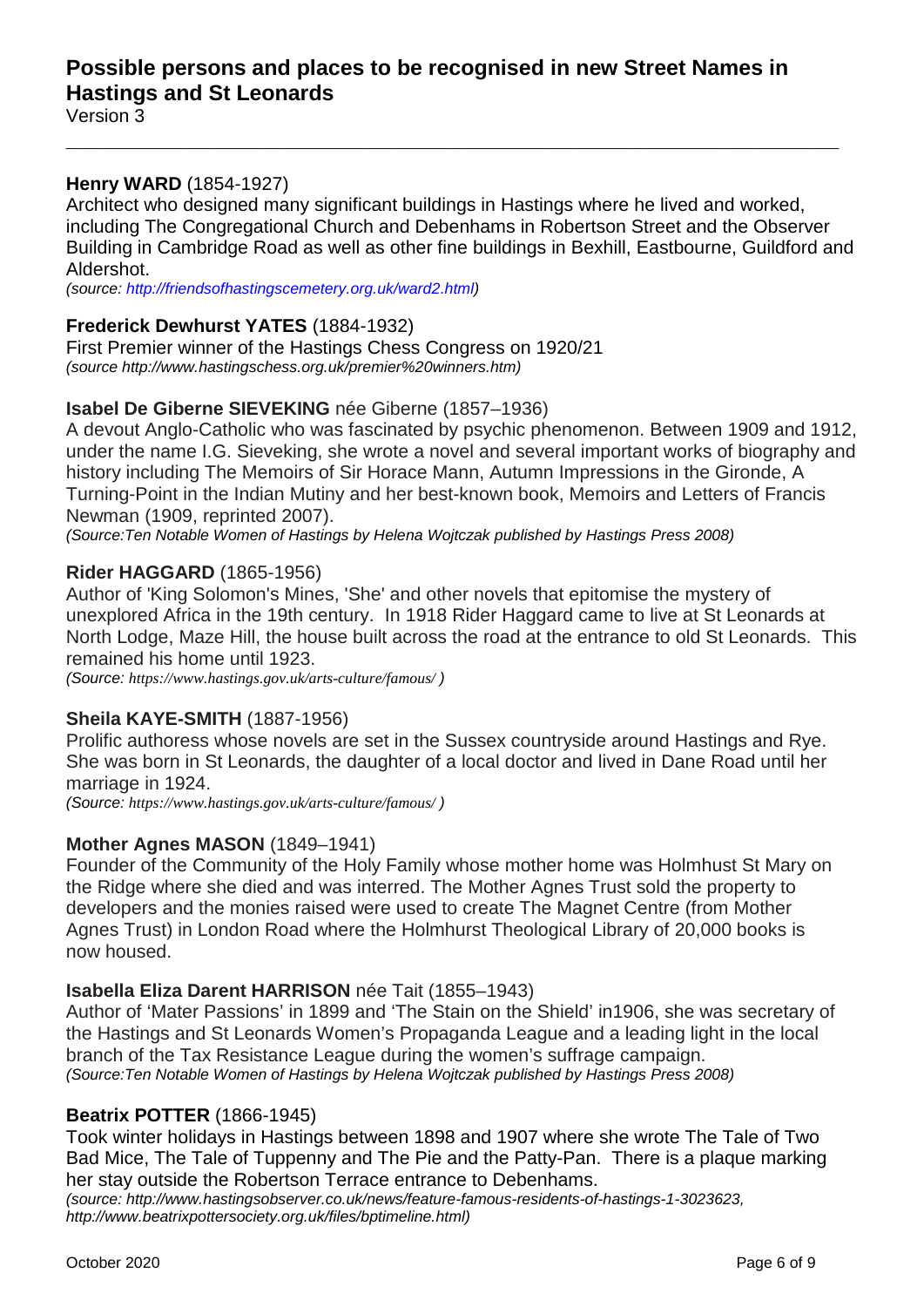## **Henry WARD** (1854-1927)

Architect who designed many significant buildings in Hastings where he lived and worked, including The Congregational Church and Debenhams in Robertson Street and the Observer Building in Cambridge Road as well as other fine buildings in Bexhill, Eastbourne, Guildford and Aldershot.

**\_\_\_\_\_\_\_\_\_\_\_\_\_\_\_\_\_\_\_\_\_\_\_\_\_\_\_\_\_\_\_\_\_\_\_\_\_\_\_\_\_\_\_\_\_\_\_\_\_\_\_\_\_\_\_\_\_\_\_\_\_\_\_\_**

*(source: [http://friendsofhastingscemetery.org.uk/ward2.html\)](http://friendsofhastingscemetery.org.uk/ward2.html)*

## **Frederick Dewhurst YATES** (1884-1932)

First Premier winner of the Hastings Chess Congress on 1920/21 *(source http://www.hastingschess.org.uk/premier%20winners.htm)*

## **Isabel De Giberne SIEVEKING** née Giberne (1857–1936)

A devout Anglo-Catholic who was fascinated by psychic phenomenon. Between 1909 and 1912, under the name I.G. Sieveking, she wrote a novel and several important works of biography and history including The Memoirs of Sir Horace Mann, Autumn Impressions in the Gironde, A Turning-Point in the Indian Mutiny and her best-known book, Memoirs and Letters of Francis Newman (1909, reprinted 2007).

*(Source:Ten Notable Women of Hastings by Helena Wojtczak published by Hastings Press 2008)*

#### **Rider HAGGARD** (1865-1956)

Author of 'King Solomon's Mines, 'She' and other novels that epitomise the mystery of unexplored Africa in the 19th century. In 1918 Rider Haggard came to live at St Leonards at North Lodge, Maze Hill, the house built across the road at the entrance to old St Leonards. This remained his home until 1923.

*(Source: <https://www.hastings.gov.uk/arts-culture/famous/> )*

#### **Sheila KAYE-SMITH** (1887-1956)

Prolific authoress whose novels are set in the Sussex countryside around Hastings and Rye. She was born in St Leonards, the daughter of a local doctor and lived in Dane Road until her marriage in 1924.

*(Source: <https://www.hastings.gov.uk/arts-culture/famous/> )*

## **Mother Agnes MASON** (1849–1941)

Founder of the Community of the Holy Family whose mother home was Holmhust St Mary on the Ridge where she died and was interred. The Mother Agnes Trust sold the property to developers and the monies raised were used to create The Magnet Centre (from Mother Agnes Trust) in London Road where the Holmhurst Theological Library of 20,000 books is now housed.

#### **Isabella Eliza Darent HARRISON** née Tait (1855–1943)

Author of 'Mater Passions' in 1899 and 'The Stain on the Shield' in1906, she was secretary of the Hastings and St Leonards Women's Propaganda League and a leading light in the local branch of the Tax Resistance League during the women's suffrage campaign. *(Source:Ten Notable Women of Hastings by Helena Wojtczak published by Hastings Press 2008)*

#### **Beatrix POTTER** (1866-1945)

Took winter holidays in Hastings between 1898 and 1907 where she wrote The Tale of Two Bad Mice, The Tale of Tuppenny and The Pie and the Patty-Pan. There is a plaque marking her stay outside the Robertson Terrace entrance to Debenhams.

*(source: [http://www.hastingsobserver.co.uk/news/feature-famous-residents-of-hastings-1-3023623,](http://www.hastingsobserver.co.uk/news/feature-famous-residents-of-hastings-1-3023623) [http://www.beatrixpottersociety.org.uk/files/bptimeline.html\)](http://www.beatrixpottersociety.org.uk/files/bptimeline.html)*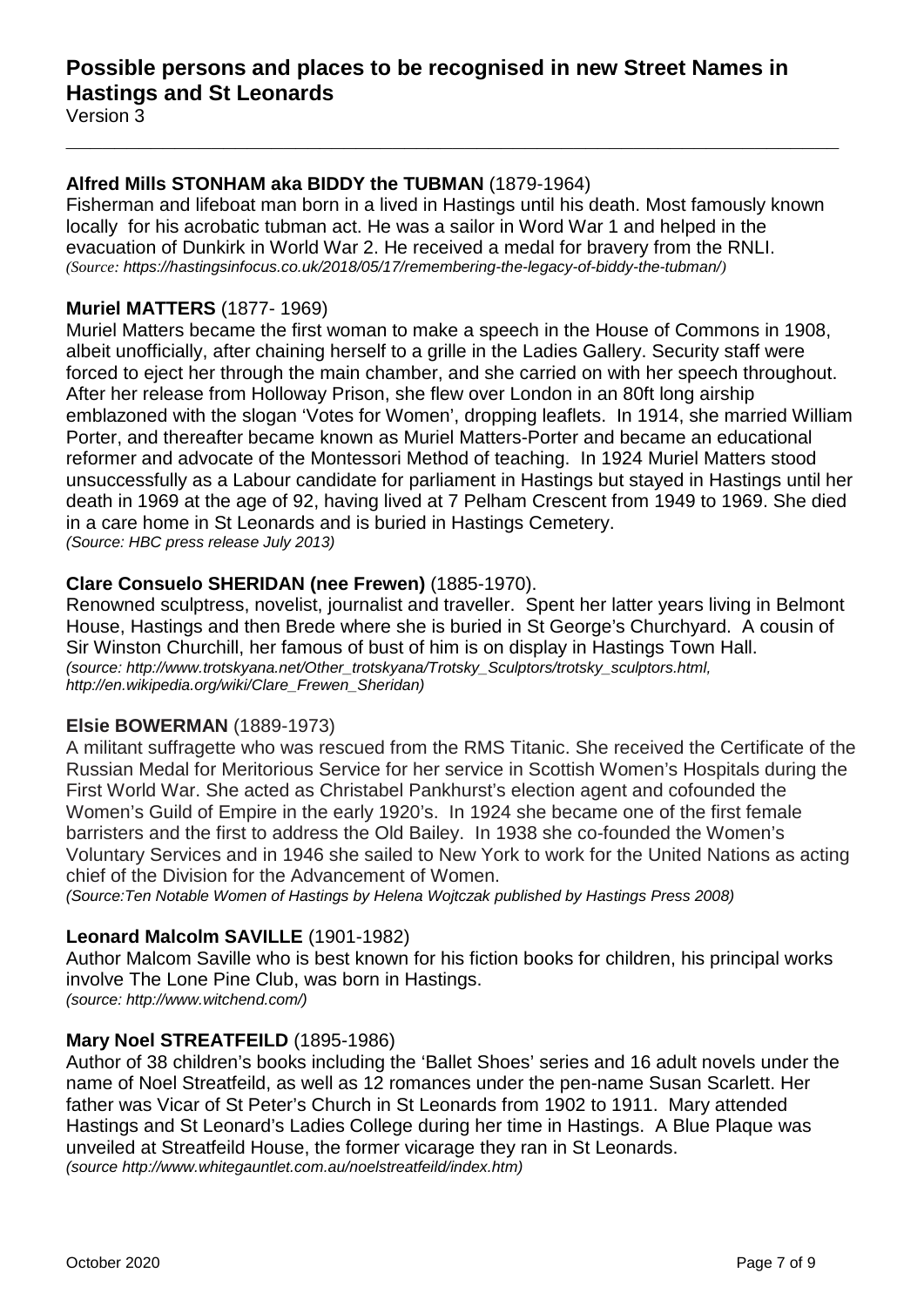## **Alfred Mills STONHAM aka BIDDY the TUBMAN** (1879-1964)

Fisherman and lifeboat man born in a lived in Hastings until his death. Most famously known locally for his acrobatic tubman act. He was a sailor in Word War 1 and helped in the evacuation of Dunkirk in World War 2. He received a medal for bravery from the RNLI. *(Source: <https://hastingsinfocus.co.uk/2018/05/17/remembering-the-legacy-of-biddy-the-tubman/>)*

**\_\_\_\_\_\_\_\_\_\_\_\_\_\_\_\_\_\_\_\_\_\_\_\_\_\_\_\_\_\_\_\_\_\_\_\_\_\_\_\_\_\_\_\_\_\_\_\_\_\_\_\_\_\_\_\_\_\_\_\_\_\_\_\_**

## **Muriel MATTERS** (1877- 1969)

Muriel Matters became the first woman to make a speech in the House of Commons in 1908, albeit unofficially, after chaining herself to a grille in the Ladies Gallery. Security staff were forced to eject her through the main chamber, and she carried on with her speech throughout. After her release from Holloway Prison, she flew over London in an 80ft long airship emblazoned with the slogan 'Votes for Women', dropping leaflets. In 1914, she married William Porter, and thereafter became known as Muriel Matters-Porter and became an educational reformer and advocate of the Montessori Method of teaching. In 1924 Muriel Matters stood unsuccessfully as a Labour candidate for parliament in Hastings but stayed in Hastings until her death in 1969 at the age of 92, having lived at 7 Pelham Crescent from 1949 to 1969. She died in a care home in St Leonards and is buried in Hastings Cemetery. *(Source: HBC press release July 2013)*

## **Clare Consuelo SHERIDAN (nee Frewen)** (1885-1970).

Renowned sculptress, novelist, journalist and traveller. Spent her latter years living in Belmont House, Hastings and then Brede where she is buried in St George's Churchyard. A cousin of Sir Winston Churchill, her famous of bust of him is on display in Hastings Town Hall. *(source: [http://www.trotskyana.net/Other\\_trotskyana/Trotsky\\_Sculptors/trotsky\\_sculptors.html,](http://www.trotskyana.net/Other_trotskyana/Trotsky_Sculptors/trotsky_sculptors.html) [http://en.wikipedia.org/wiki/Clare\\_Frewen\\_Sheridan\)](http://en.wikipedia.org/wiki/Clare_Frewen_Sheridan)*

## **Elsie BOWERMAN** (1889-1973)

A militant suffragette who was rescued from the RMS Titanic. She received the Certificate of the Russian Medal for Meritorious Service for her service in Scottish Women's Hospitals during the First World War. She acted as Christabel Pankhurst's election agent and cofounded the Women's Guild of Empire in the early 1920's. In 1924 she became one of the first female barristers and the first to address the Old Bailey. In 1938 she co-founded the Women's Voluntary Services and in 1946 she sailed to New York to work for the United Nations as acting chief of the Division for the Advancement of Women.

*(Source:Ten Notable Women of Hastings by Helena Wojtczak published by Hastings Press 2008)*

## **Leonard Malcolm SAVILLE** (1901-1982)

Author Malcom Saville who is best known for his fiction books for children, his principal works involve The Lone Pine Club, was born in Hastings.

*(source: http://www.witchend.com/)*

## **Mary Noel STREATFEILD** (1895-1986)

Author of 38 children's books including the 'Ballet Shoes' series and 16 adult novels under the name of Noel Streatfeild, as well as 12 romances under the pen-name Susan Scarlett. Her father was Vicar of St Peter's Church in St Leonards from 1902 to 1911. Mary attended Hastings and St Leonard's Ladies College during her time in Hastings. A Blue Plaque was unveiled at Streatfeild House, the former vicarage they ran in St Leonards. *(source http://www.whitegauntlet.com.au/noelstreatfeild/index.htm)*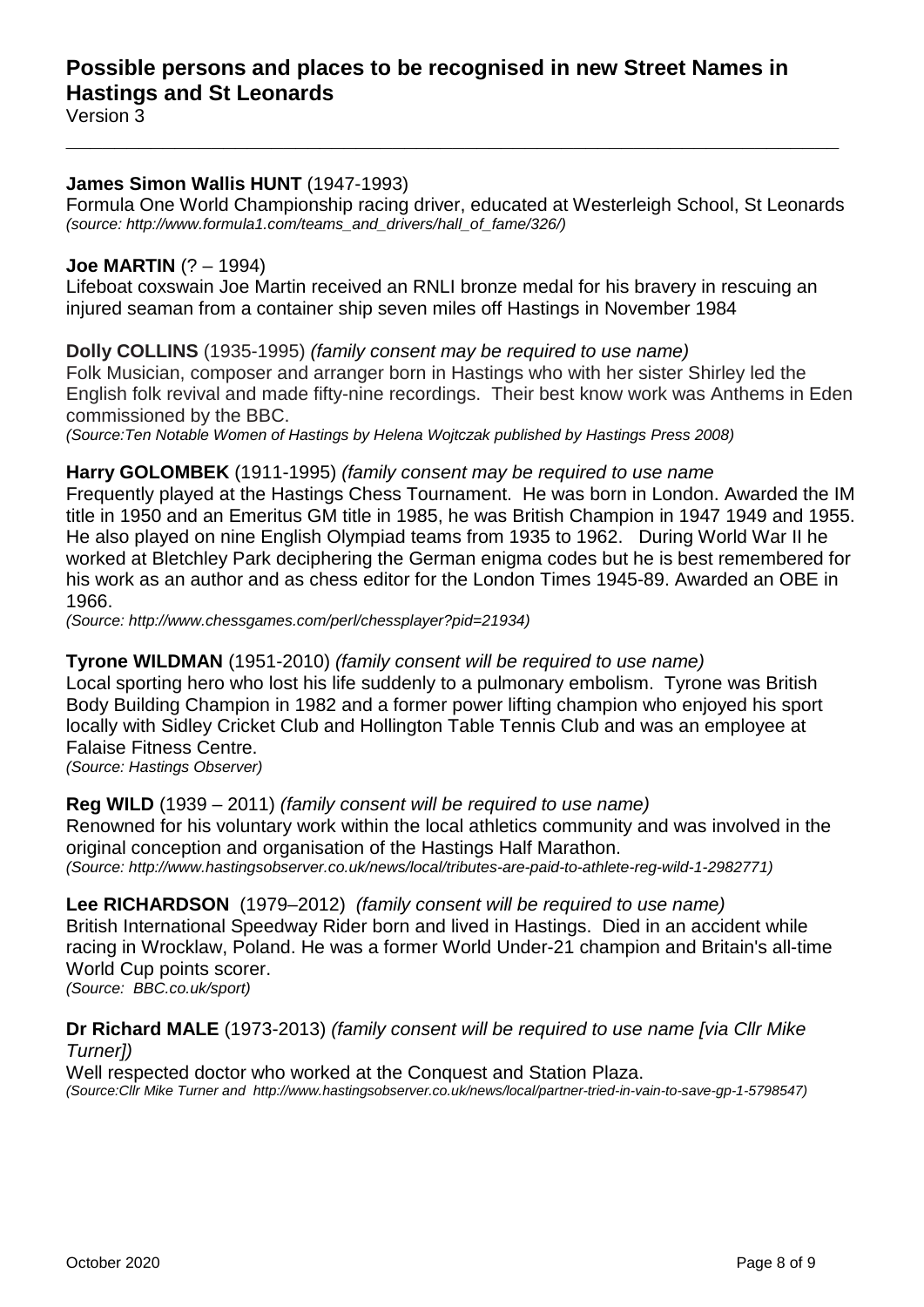## **James Simon Wallis HUNT** (1947-1993)

Formula One World Championship racing driver, educated at Westerleigh School, St Leonards *(source: http://www.formula1.com/teams\_and\_drivers/hall\_of\_fame/326/)*

**\_\_\_\_\_\_\_\_\_\_\_\_\_\_\_\_\_\_\_\_\_\_\_\_\_\_\_\_\_\_\_\_\_\_\_\_\_\_\_\_\_\_\_\_\_\_\_\_\_\_\_\_\_\_\_\_\_\_\_\_\_\_\_\_**

### **Joe MARTIN** (? – 1994)

Lifeboat coxswain Joe Martin received an RNLI bronze medal for his bravery in rescuing an injured seaman from a container ship seven miles off Hastings in November 1984

**Dolly COLLINS** (1935-1995) *(family consent may be required to use name)* Folk Musician, composer and arranger born in Hastings who with her sister Shirley led the English folk revival and made fifty-nine recordings. Their best know work was Anthems in Eden commissioned by the BBC.

*(Source:Ten Notable Women of Hastings by Helena Wojtczak published by Hastings Press 2008)*

#### **Harry GOLOMBEK** (1911-1995) *(family consent may be required to use name*

Frequently played at the Hastings Chess Tournament. He was born in London. Awarded the IM title in 1950 and an Emeritus GM title in 1985, he was British Champion in 1947 1949 and 1955. He also played on nine English Olympiad teams from 1935 to 1962. During World War II he worked at Bletchley Park deciphering the German enigma codes but he is best remembered for his work as an author and as chess editor for the London Times 1945-89. Awarded an OBE in 1966.

*(Source: http://www.chessgames.com/perl/chessplayer?pid=21934)*

### **Tyrone WILDMAN** (1951-2010) *(family consent will be required to use name)*

Local sporting hero who lost his life suddenly to a pulmonary embolism. Tyrone was British Body Building Champion in 1982 and a former power lifting champion who enjoyed his sport locally with Sidley Cricket Club and Hollington Table Tennis Club and was an employee at Falaise Fitness Centre.

*(Source: Hastings Observer)*

**Reg WILD** (1939 – 2011) *(family consent will be required to use name)*

Renowned for his voluntary work within the local athletics community and was involved in the original conception and organisation of the Hastings Half Marathon. *(Source: http://www.hastingsobserver.co.uk/news/local/tributes-are-paid-to-athlete-reg-wild-1-2982771)*

**Lee RICHARDSON** (1979–2012) *(family consent will be required to use name)* British International Speedway Rider born and lived in Hastings. Died in an accident while racing in Wrocklaw, Poland. He was a former World Under-21 champion and Britain's all-time World Cup points scorer.

*(Source: BBC.co.uk/sport)*

#### **Dr Richard MALE** (1973-2013) *(family consent will be required to use name [via Cllr Mike Turner])*

Well respected doctor who worked at the Conquest and Station Plaza. *(Source:Cllr Mike Turner and http://www.hastingsobserver.co.uk/news/local/partner-tried-in-vain-to-save-gp-1-5798547)*